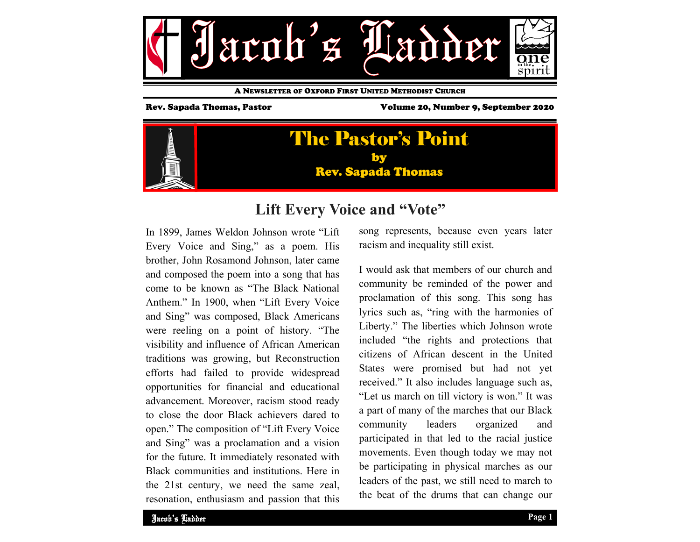

A NEWSLETTER OF OXFORD FIRST UNITED METHODIST CHURCH

Rev. Sapada Thomas, Pastor Volume 20, Number 9, September 2020



# **Lift Every Voice and "Vote"**

In 1899, James Weldon Johnson wrote "Lift Every Voice and Sing," as a poem. His brother, John Rosamond Johnson, later came and composed the poem into a song that has come to be known as "The Black National Anthem." In 1900, when "Lift Every Voice and Sing" was composed, Black Americans were reeling on a point of history. "The visibility and influence of African American traditions was growing, but Reconstruction efforts had failed to provide widespread opportunities for financial and educational advancement. Moreover, racism stood ready to close the door Black achievers dared to open." The composition of "Lift Every Voice and Sing" was a proclamation and a vision for the future. It immediately resonated with Black communities and institutions. Here in the 21st century, we need the same zeal, resonation, enthusiasm and passion that this song represents, because even years later racism and inequality still exist.

I would ask that members of our church and community be reminded of the power and proclamation of this song. This song has lyrics such as, "ring with the harmonies of Liberty." The liberties which Johnson wrote included "the rights and protections that citizens of African descent in the United States were promised but had not yet received." It also includes language such as, "Let us march on till victory is won." It was a part of many of the marches that our Black community leaders organized and participated in that led to the racial justice movements. Even though today we may not be participating in physical marches as our leaders of the past, we still need to march to the beat of the drums that can change our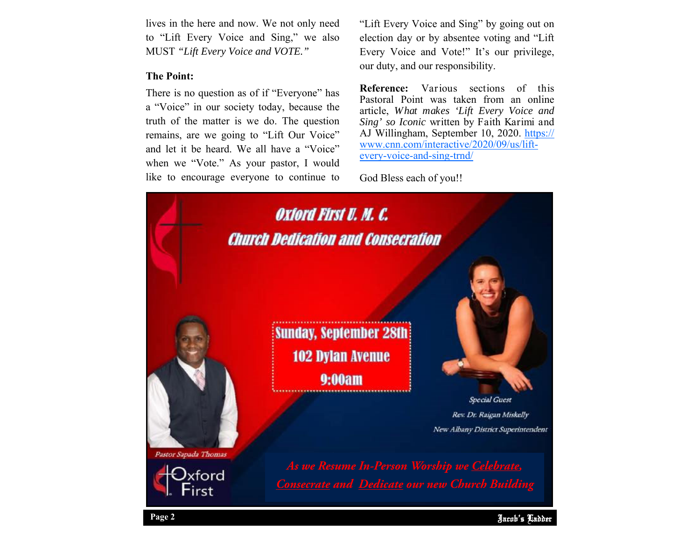lives in the here and now. We not only need to "Lift Every Voice and Sing," we also MUST *"Lift Every Voice and VOTE."*

### **The Point:**

There is no question as of if "Everyone" has <sup>a</sup>"Voice" in our society today, because the truth of the matter is we do. The question remains, are we going to "Lift Our Voice" and let it be heard. We all have a "Voice" when we "Vote." As your pastor, I would like to encourage everyone to continue to "Lift Every Voice and Sing" by going out on election day or by absentee voting and "Lift Every Voice and Vote!" It's our privilege, our duty, and our responsibility.

**Reference:** Various sections of this Pastoral Point was taken from an online article, *What makes 'Lift Every Voice and Sing' so Iconic* written by Faith Karimi and AJ Willingham, September 10, 2020. https:// www.cnn.com/interactive/2020/09/us/liftevery-voice-and-sing-trnd/

God Bless each of you!!

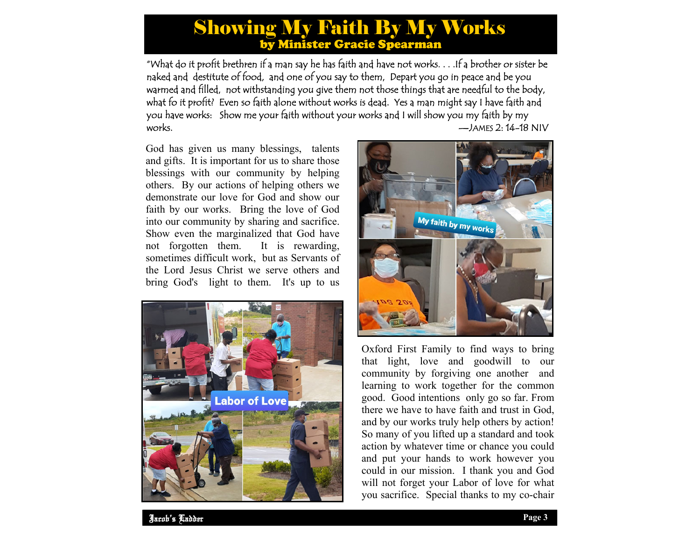# Showing My Faith By My Works by Minister Gracie Spearman

"What do it profit brethren if a man say he has faith and have not works. . . .If a brother or sister be naked and destitute of food, and one of you say to them, Depart you go in peace and be you warmed and filled, not withstanding you give them not those things that are needful to the body, what fo it profit? Even so faith alone without works is dead. Yes a man might say I have faith and you have works: Show me your faith without your works and I will show you my faith by my works.  $-\lambda$  JAMES 2: 14–18 NIV

God has given us many blessings, talents and gifts. It is important for us to share those blessings with our community by helping others. By our actions of helping others we demonstrate our love for God and show our faith by our works. Bring the love of God into our community by sharing and sacrifice. Show even the marginalized that God have not forgotten them. It is rewarding, sometimes difficult work, but as Servants of the Lord Jesus Christ we serve others and bring God's light to them. It's up to us





Oxford First Family to find ways to bring that light, love and goodwill to our community by forgiving one another and learning to work together for the common good. Good intentions only go so far. From there we have to have faith and trust in God, and by our works truly help others by action! So many of you lifted up a standard and took action by whatever time or chance you could and put your hands to work however you could in our mission. I thank you and God will not forget your Labor of love for what you sacrifice. Special thanks to my co-chair